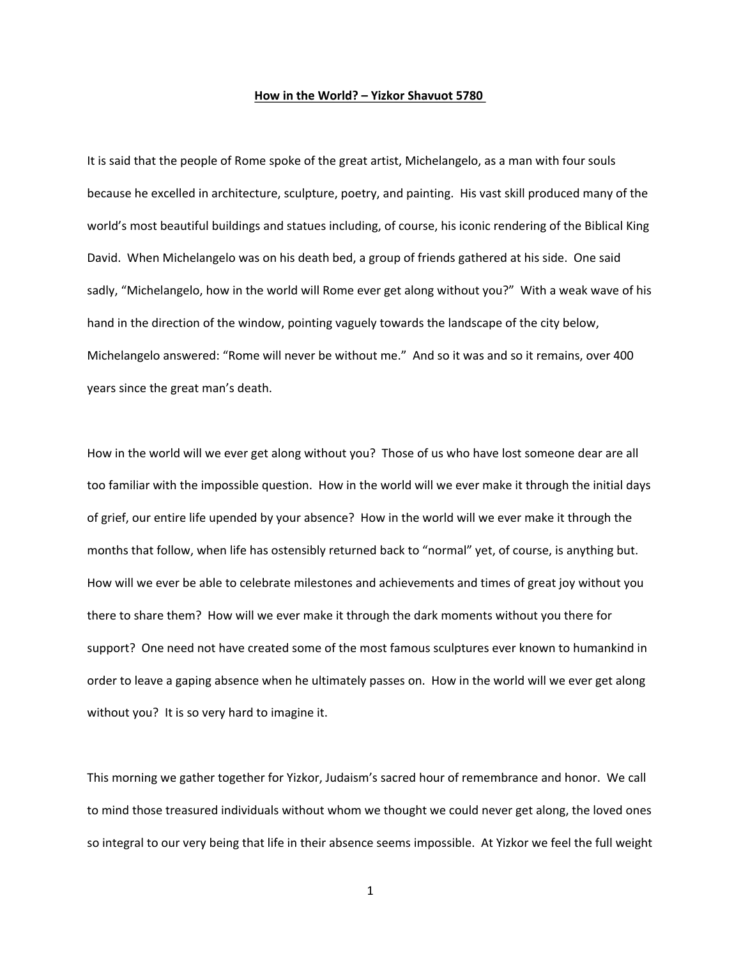## How in the World? - Yizkor Shavuot 5780

It is said that the people of Rome spoke of the great artist, Michelangelo, as a man with four souls because he excelled in architecture, sculpture, poetry, and painting. His vast skill produced many of the world's most beautiful buildings and statues including, of course, his iconic rendering of the Biblical King David. When Michelangelo was on his death bed, a group of friends gathered at his side. One said sadly, "Michelangelo, how in the world will Rome ever get along without you?" With a weak wave of his hand in the direction of the window, pointing vaguely towards the landscape of the city below, Michelangelo answered: "Rome will never be without me." And so it was and so it remains, over 400 years since the great man's death.

How in the world will we ever get along without you? Those of us who have lost someone dear are all too familiar with the impossible question. How in the world will we ever make it through the initial days of grief, our entire life upended by your absence? How in the world will we ever make it through the months that follow, when life has ostensibly returned back to "normal" yet, of course, is anything but. How will we ever be able to celebrate milestones and achievements and times of great joy without you there to share them? How will we ever make it through the dark moments without you there for support? One need not have created some of the most famous sculptures ever known to humankind in order to leave a gaping absence when he ultimately passes on. How in the world will we ever get along without you? It is so very hard to imagine it.

This morning we gather together for Yizkor, Judaism's sacred hour of remembrance and honor. We call to mind those treasured individuals without whom we thought we could never get along, the loved ones so integral to our very being that life in their absence seems impossible. At Yizkor we feel the full weight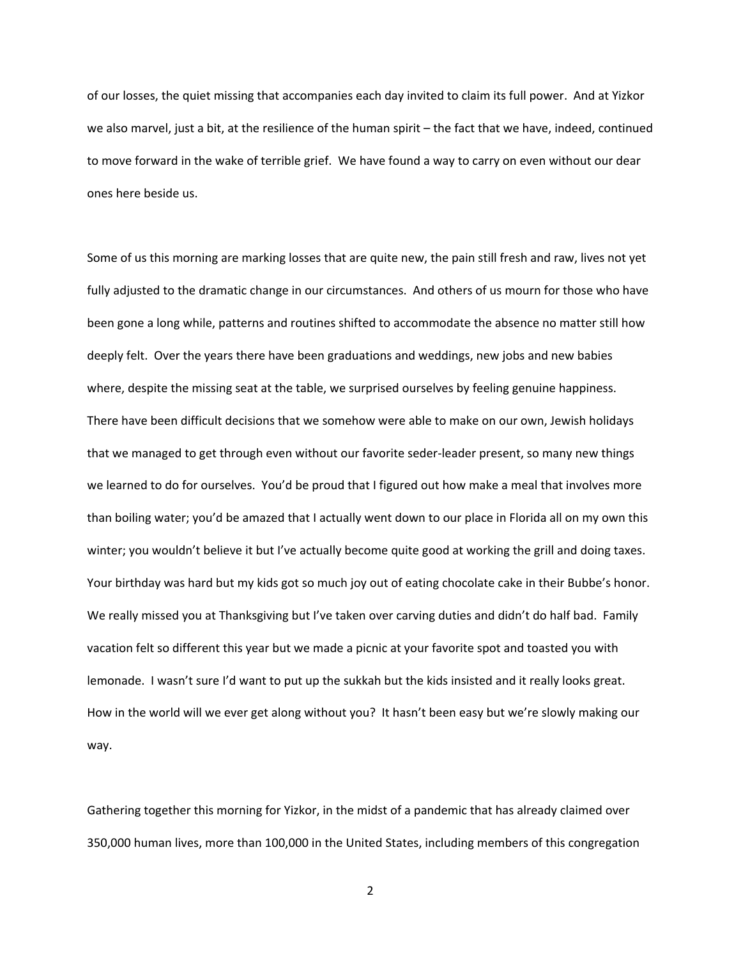of our losses, the quiet missing that accompanies each day invited to claim its full power. And at Yizkor we also marvel, just a bit, at the resilience of the human spirit - the fact that we have, indeed, continued to move forward in the wake of terrible grief. We have found a way to carry on even without our dear ones here beside us.

Some of us this morning are marking losses that are quite new, the pain still fresh and raw, lives not yet fully adjusted to the dramatic change in our circumstances. And others of us mourn for those who have been gone a long while, patterns and routines shifted to accommodate the absence no matter still how deeply felt. Over the years there have been graduations and weddings, new jobs and new babies where, despite the missing seat at the table, we surprised ourselves by feeling genuine happiness. There have been difficult decisions that we somehow were able to make on our own, Jewish holidays that we managed to get through even without our favorite seder-leader present, so many new things we learned to do for ourselves. You'd be proud that I figured out how make a meal that involves more than boiling water; you'd be amazed that I actually went down to our place in Florida all on my own this winter; you wouldn't believe it but I've actually become quite good at working the grill and doing taxes. Your birthday was hard but my kids got so much joy out of eating chocolate cake in their Bubbe's honor. We really missed you at Thanksgiving but I've taken over carving duties and didn't do half bad. Family vacation felt so different this year but we made a picnic at your favorite spot and toasted you with lemonade. I wasn't sure I'd want to put up the sukkah but the kids insisted and it really looks great. How in the world will we ever get along without you? It hasn't been easy but we're slowly making our way.

Gathering together this morning for Yizkor, in the midst of a pandemic that has already claimed over 350,000 human lives, more than 100,000 in the United States, including members of this congregation

 $\overline{2}$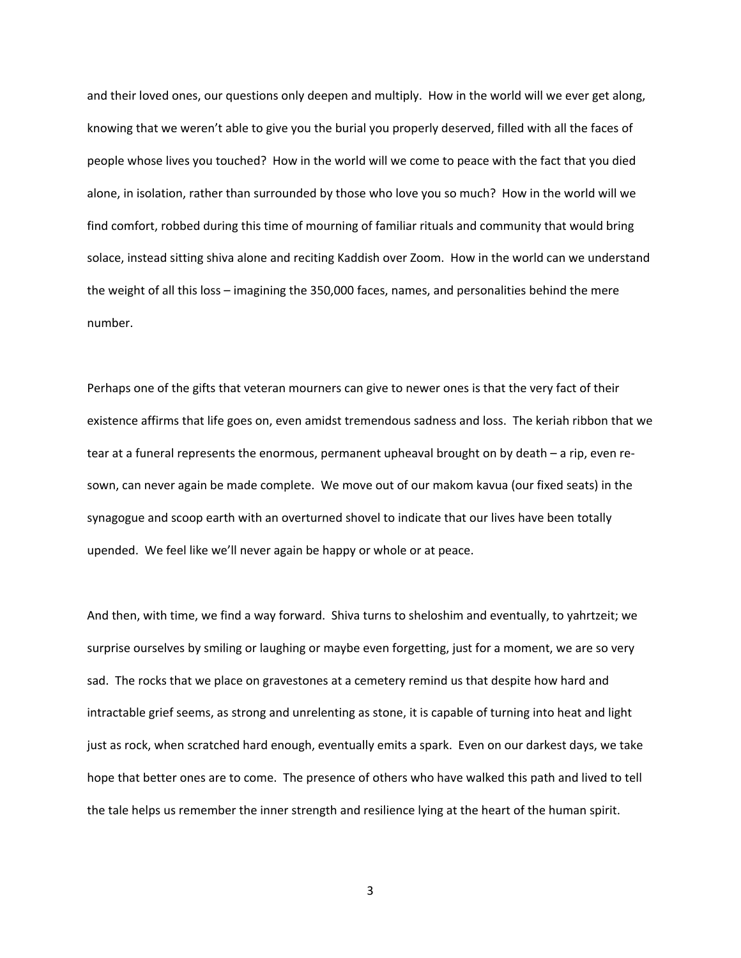and their loved ones, our questions only deepen and multiply. How in the world will we ever get along, knowing that we weren't able to give you the burial you properly deserved, filled with all the faces of people whose lives you touched? How in the world will we come to peace with the fact that you died alone, in isolation, rather than surrounded by those who love you so much? How in the world will we find comfort, robbed during this time of mourning of familiar rituals and community that would bring solace, instead sitting shiva alone and reciting Kaddish over Zoom. How in the world can we understand the weight of all this loss – imagining the 350,000 faces, names, and personalities behind the mere number.

Perhaps one of the gifts that veteran mourners can give to newer ones is that the very fact of their existence affirms that life goes on, even amidst tremendous sadness and loss. The keriah ribbon that we tear at a funeral represents the enormous, permanent upheaval brought on by death – a rip, even resown, can never again be made complete. We move out of our makom kavua (our fixed seats) in the synagogue and scoop earth with an overturned shovel to indicate that our lives have been totally upended. We feel like we'll never again be happy or whole or at peace.

And then, with time, we find a way forward. Shiva turns to sheloshim and eventually, to yahrtzeit; we surprise ourselves by smiling or laughing or maybe even forgetting, just for a moment, we are so very sad. The rocks that we place on gravestones at a cemetery remind us that despite how hard and intractable grief seems, as strong and unrelenting as stone, it is capable of turning into heat and light just as rock, when scratched hard enough, eventually emits a spark. Even on our darkest days, we take hope that better ones are to come. The presence of others who have walked this path and lived to tell the tale helps us remember the inner strength and resilience lying at the heart of the human spirit.

 $\overline{3}$